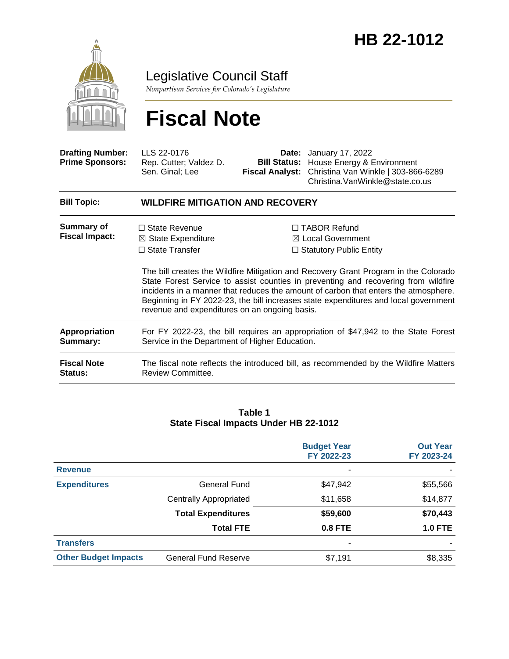

Legislative Council Staff

*Nonpartisan Services for Colorado's Legislature*

# **Fiscal Note**

| <b>Drafting Number:</b><br><b>Prime Sponsors:</b> | LLS 22-0176<br>Rep. Cutter; Valdez D.<br>Sen. Ginal; Lee                                                                             | Date:<br><b>Bill Status:</b><br><b>Fiscal Analyst:</b> | January 17, 2022<br>House Energy & Environment<br>Christina Van Winkle   303-866-6289<br>Christina. VanWinkle@state.co.us                                                                                                                                                                                                                                                                                                                        |
|---------------------------------------------------|--------------------------------------------------------------------------------------------------------------------------------------|--------------------------------------------------------|--------------------------------------------------------------------------------------------------------------------------------------------------------------------------------------------------------------------------------------------------------------------------------------------------------------------------------------------------------------------------------------------------------------------------------------------------|
| <b>Bill Topic:</b>                                | <b>WILDFIRE MITIGATION AND RECOVERY</b>                                                                                              |                                                        |                                                                                                                                                                                                                                                                                                                                                                                                                                                  |
| <b>Summary of</b><br><b>Fiscal Impact:</b>        | $\Box$ State Revenue<br>$\boxtimes$ State Expenditure<br>$\Box$ State Transfer<br>revenue and expenditures on an ongoing basis.      |                                                        | $\Box$ TABOR Refund<br>$\boxtimes$ Local Government<br>$\Box$ Statutory Public Entity<br>The bill creates the Wildfire Mitigation and Recovery Grant Program in the Colorado<br>State Forest Service to assist counties in preventing and recovering from wildfire<br>incidents in a manner that reduces the amount of carbon that enters the atmosphere.<br>Beginning in FY 2022-23, the bill increases state expenditures and local government |
| <b>Appropriation</b><br>Summary:                  | For FY 2022-23, the bill requires an appropriation of \$47,942 to the State Forest<br>Service in the Department of Higher Education. |                                                        |                                                                                                                                                                                                                                                                                                                                                                                                                                                  |
| <b>Fiscal Note</b><br><b>Status:</b>              | The fiscal note reflects the introduced bill, as recommended by the Wildfire Matters<br><b>Review Committee.</b>                     |                                                        |                                                                                                                                                                                                                                                                                                                                                                                                                                                  |

#### **Table 1 State Fiscal Impacts Under HB 22-1012**

|                             |                               | <b>Budget Year</b><br>FY 2022-23 | <b>Out Year</b><br>FY 2023-24 |
|-----------------------------|-------------------------------|----------------------------------|-------------------------------|
| <b>Revenue</b>              |                               |                                  |                               |
| <b>Expenditures</b>         | General Fund                  | \$47,942                         | \$55,566                      |
|                             | <b>Centrally Appropriated</b> | \$11,658                         | \$14,877                      |
|                             | <b>Total Expenditures</b>     | \$59,600                         | \$70,443                      |
|                             | <b>Total FTE</b>              | 0.8 FTE                          | <b>1.0 FTE</b>                |
| <b>Transfers</b>            |                               | ۰                                |                               |
| <b>Other Budget Impacts</b> | <b>General Fund Reserve</b>   | \$7,191                          | \$8,335                       |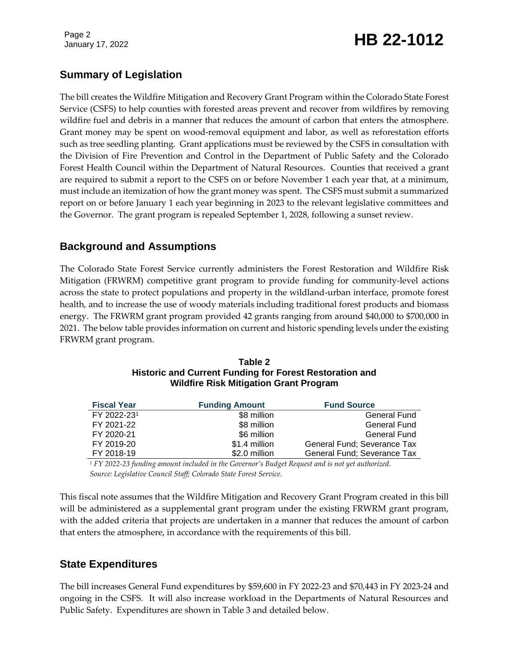Page 2

# January 17, 2022 **HB 22-1012**

# **Summary of Legislation**

The bill creates the Wildfire Mitigation and Recovery Grant Program within the Colorado State Forest Service (CSFS) to help counties with forested areas prevent and recover from wildfires by removing wildfire fuel and debris in a manner that reduces the amount of carbon that enters the atmosphere. Grant money may be spent on wood-removal equipment and labor, as well as reforestation efforts such as tree seedling planting. Grant applications must be reviewed by the CSFS in consultation with the Division of Fire Prevention and Control in the Department of Public Safety and the Colorado Forest Health Council within the Department of Natural Resources. Counties that received a grant are required to submit a report to the CSFS on or before November 1 each year that, at a minimum, must include an itemization of how the grant money was spent. The CSFS must submit a summarized report on or before January 1 each year beginning in 2023 to the relevant legislative committees and the Governor. The grant program is repealed September 1, 2028, following a sunset review.

# **Background and Assumptions**

The Colorado State Forest Service currently administers the Forest Restoration and Wildfire Risk Mitigation (FRWRM) competitive grant program to provide funding for community-level actions across the state to protect populations and property in the wildland-urban interface, promote forest health, and to increase the use of woody materials including traditional forest products and biomass energy. The FRWRM grant program provided 42 grants ranging from around \$40,000 to \$700,000 in 2021. The below table provides information on current and historic spending levels under the existing FRWRM grant program.

| <b>Fiscal Year</b> | <b>Funding Amount</b> | <b>Fund Source</b>          |  |
|--------------------|-----------------------|-----------------------------|--|
| FY 2022-231        | \$8 million           | <b>General Fund</b>         |  |
| FY 2021-22         | \$8 million           | <b>General Fund</b>         |  |
| FY 2020-21         | \$6 million           | <b>General Fund</b>         |  |
| FY 2019-20         | \$1.4 million         | General Fund; Severance Tax |  |
| FY 2018-19         | \$2.0 million         | General Fund; Severance Tax |  |

**Table 2 Historic and Current Funding for Forest Restoration and Wildfire Risk Mitigation Grant Program**

*<sup>1</sup> FY 2022-23 funding amount included in the Governor's Budget Request and is not yet authorized. Source: Legislative Council Staff; Colorado State Forest Service.*

This fiscal note assumes that the Wildfire Mitigation and Recovery Grant Program created in this bill will be administered as a supplemental grant program under the existing FRWRM grant program, with the added criteria that projects are undertaken in a manner that reduces the amount of carbon that enters the atmosphere, in accordance with the requirements of this bill.

# **State Expenditures**

The bill increases General Fund expenditures by \$59,600 in FY 2022-23 and \$70,443 in FY 2023-24 and ongoing in the CSFS. It will also increase workload in the Departments of Natural Resources and Public Safety. Expenditures are shown in Table 3 and detailed below.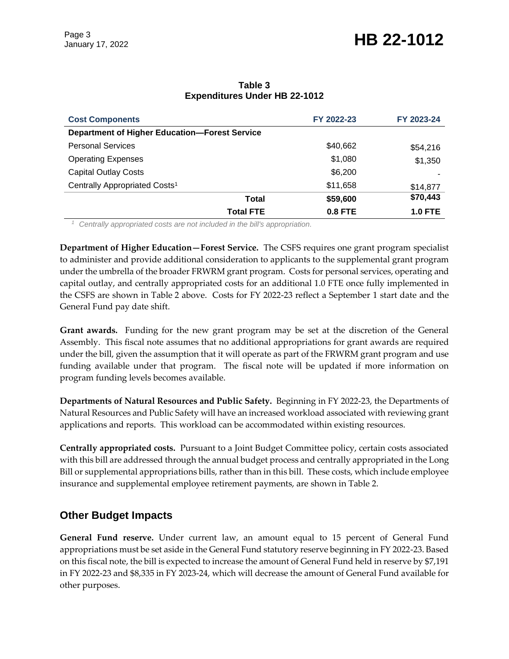# January 17, 2022 **HB 22-1012**

| <b>Cost Components</b>                               | FY 2022-23     | FY 2023-24     |  |
|------------------------------------------------------|----------------|----------------|--|
| <b>Department of Higher Education-Forest Service</b> |                |                |  |
| <b>Personal Services</b>                             | \$40,662       | \$54,216       |  |
| <b>Operating Expenses</b>                            | \$1,080        | \$1,350        |  |
| <b>Capital Outlay Costs</b>                          | \$6,200        |                |  |
| Centrally Appropriated Costs <sup>1</sup>            | \$11,658       | \$14,877       |  |
| Total                                                | \$59,600       | \$70,443       |  |
| <b>Total FTE</b>                                     | <b>0.8 FTE</b> | <b>1.0 FTE</b> |  |

#### **Table 3 Expenditures Under HB 22-1012**

*<sup>1</sup> Centrally appropriated costs are not included in the bill's appropriation.*

**Department of Higher Education—Forest Service.** The CSFS requires one grant program specialist to administer and provide additional consideration to applicants to the supplemental grant program under the umbrella of the broader FRWRM grant program. Costs for personal services, operating and capital outlay, and centrally appropriated costs for an additional 1.0 FTE once fully implemented in the CSFS are shown in Table 2 above. Costs for FY 2022-23 reflect a September 1 start date and the General Fund pay date shift.

**Grant awards.** Funding for the new grant program may be set at the discretion of the General Assembly. This fiscal note assumes that no additional appropriations for grant awards are required under the bill, given the assumption that it will operate as part of the FRWRM grant program and use funding available under that program. The fiscal note will be updated if more information on program funding levels becomes available.

**Departments of Natural Resources and Public Safety.** Beginning in FY 2022-23, the Departments of Natural Resources and Public Safety will have an increased workload associated with reviewing grant applications and reports. This workload can be accommodated within existing resources.

**Centrally appropriated costs.** Pursuant to a Joint Budget Committee policy, certain costs associated with this bill are addressed through the annual budget process and centrally appropriated in the Long Bill or supplemental appropriations bills, rather than in this bill. These costs, which include employee insurance and supplemental employee retirement payments, are shown in Table 2.

### **Other Budget Impacts**

**General Fund reserve.** Under current law, an amount equal to 15 percent of General Fund appropriations must be set aside in the General Fund statutory reserve beginning in FY 2022-23. Based on this fiscal note, the bill is expected to increase the amount of General Fund held in reserve by \$7,191 in FY 2022-23 and \$8,335 in FY 2023-24, which will decrease the amount of General Fund available for other purposes.